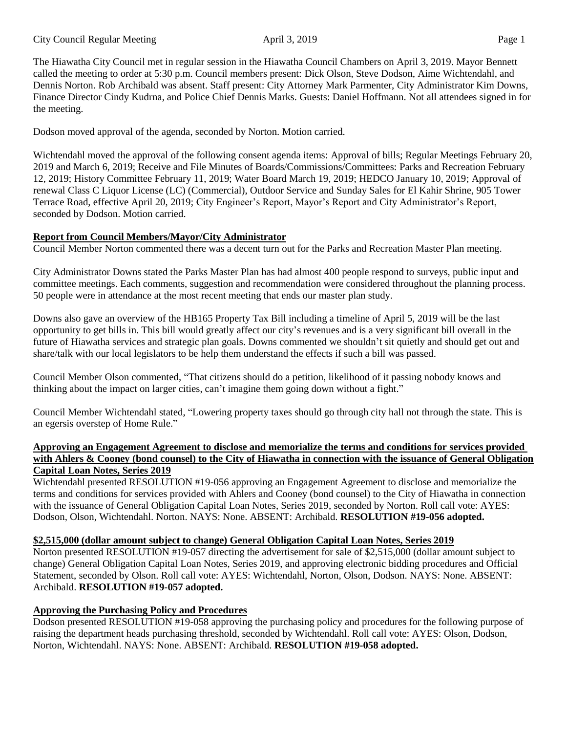The Hiawatha City Council met in regular session in the Hiawatha Council Chambers on April 3, 2019. Mayor Bennett called the meeting to order at 5:30 p.m. Council members present: Dick Olson, Steve Dodson, Aime Wichtendahl, and Dennis Norton. Rob Archibald was absent. Staff present: City Attorney Mark Parmenter, City Administrator Kim Downs, Finance Director Cindy Kudrna, and Police Chief Dennis Marks. Guests: Daniel Hoffmann. Not all attendees signed in for the meeting.

Dodson moved approval of the agenda, seconded by Norton. Motion carried.

Wichtendahl moved the approval of the following consent agenda items: Approval of bills; Regular Meetings February 20, 2019 and March 6, 2019; Receive and File Minutes of Boards/Commissions/Committees: Parks and Recreation February 12, 2019; History Committee February 11, 2019; Water Board March 19, 2019; HEDCO January 10, 2019; Approval of renewal Class C Liquor License (LC) (Commercial), Outdoor Service and Sunday Sales for El Kahir Shrine, 905 Tower Terrace Road, effective April 20, 2019; City Engineer's Report, Mayor's Report and City Administrator's Report, seconded by Dodson. Motion carried.

## **Report from Council Members/Mayor/City Administrator**

Council Member Norton commented there was a decent turn out for the Parks and Recreation Master Plan meeting.

City Administrator Downs stated the Parks Master Plan has had almost 400 people respond to surveys, public input and committee meetings. Each comments, suggestion and recommendation were considered throughout the planning process. 50 people were in attendance at the most recent meeting that ends our master plan study.

Downs also gave an overview of the HB165 Property Tax Bill including a timeline of April 5, 2019 will be the last opportunity to get bills in. This bill would greatly affect our city's revenues and is a very significant bill overall in the future of Hiawatha services and strategic plan goals. Downs commented we shouldn't sit quietly and should get out and share/talk with our local legislators to be help them understand the effects if such a bill was passed.

Council Member Olson commented, "That citizens should do a petition, likelihood of it passing nobody knows and thinking about the impact on larger cities, can't imagine them going down without a fight."

Council Member Wichtendahl stated, "Lowering property taxes should go through city hall not through the state. This is an egersis overstep of Home Rule."

### **Approving an Engagement Agreement to disclose and memorialize the terms and conditions for services provided with Ahlers & Cooney (bond counsel) to the City of Hiawatha in connection with the issuance of General Obligation Capital Loan Notes, Series 2019**

Wichtendahl presented RESOLUTION #19-056 approving an Engagement Agreement to disclose and memorialize the terms and conditions for services provided with Ahlers and Cooney (bond counsel) to the City of Hiawatha in connection with the issuance of General Obligation Capital Loan Notes, Series 2019, seconded by Norton. Roll call vote: AYES: Dodson, Olson, Wichtendahl. Norton. NAYS: None. ABSENT: Archibald. **RESOLUTION #19-056 adopted.** 

## **\$2,515,000 (dollar amount subject to change) General Obligation Capital Loan Notes, Series 2019**

Norton presented RESOLUTION #19-057 directing the advertisement for sale of \$2,515,000 (dollar amount subject to change) General Obligation Capital Loan Notes, Series 2019, and approving electronic bidding procedures and Official Statement, seconded by Olson. Roll call vote: AYES: Wichtendahl, Norton, Olson, Dodson. NAYS: None. ABSENT: Archibald. **RESOLUTION #19-057 adopted.**

# **Approving the Purchasing Policy and Procedures**

Dodson presented RESOLUTION #19-058 approving the purchasing policy and procedures for the following purpose of raising the department heads purchasing threshold, seconded by Wichtendahl. Roll call vote: AYES: Olson, Dodson, Norton, Wichtendahl. NAYS: None. ABSENT: Archibald. **RESOLUTION #19-058 adopted.**